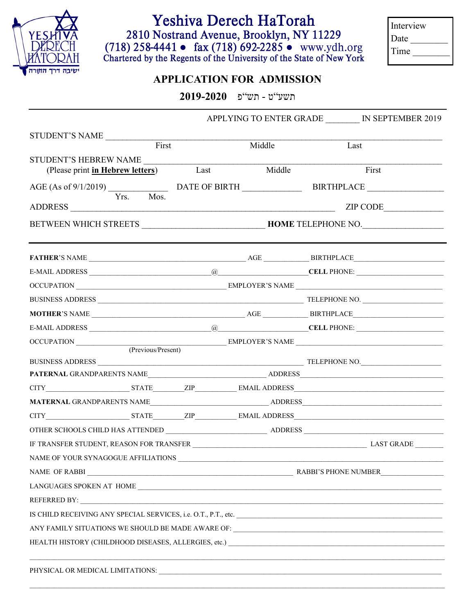

## Yeshiva Derech HaTorah

2810 Nostrand Avenue, Brooklyn, NY 11229 (718) 258-4441 • fax (718) 692-2285 • www.ydh.org<br>Chartered by the Regents of the University of the State of New York

Interview Date  $\qquad$ Time

## **APPLICATION FOR ADMISSION**

 $2019 - 2020$  פּ״פֿ

|                                                                                                      |                            |  |        | APPLYING TO ENTER GRADE _______ IN SEPTEMBER 2019 |       |  |  |
|------------------------------------------------------------------------------------------------------|----------------------------|--|--------|---------------------------------------------------|-------|--|--|
| STUDENT'S NAME                                                                                       |                            |  |        |                                                   |       |  |  |
|                                                                                                      | First                      |  | Middle | Last                                              |       |  |  |
| STUDENT'S HEBREW NAME                                                                                |                            |  |        |                                                   | First |  |  |
| (Please print in Hebrew letters) Last                                                                |                            |  | Middle |                                                   |       |  |  |
|                                                                                                      | $\overline{Yrs}$ .<br>Mos. |  |        |                                                   |       |  |  |
|                                                                                                      |                            |  |        |                                                   |       |  |  |
|                                                                                                      |                            |  |        |                                                   |       |  |  |
|                                                                                                      |                            |  |        |                                                   |       |  |  |
|                                                                                                      |                            |  |        |                                                   |       |  |  |
|                                                                                                      |                            |  |        |                                                   |       |  |  |
|                                                                                                      |                            |  |        |                                                   |       |  |  |
|                                                                                                      |                            |  |        |                                                   |       |  |  |
|                                                                                                      |                            |  |        |                                                   |       |  |  |
|                                                                                                      |                            |  |        |                                                   |       |  |  |
|                                                                                                      | (Previous/Present)         |  |        |                                                   |       |  |  |
| PATERNAL GRANDPARENTS NAME___________________________________ADDRESS________________________________ |                            |  |        |                                                   |       |  |  |
|                                                                                                      |                            |  |        |                                                   |       |  |  |
|                                                                                                      |                            |  |        |                                                   |       |  |  |
|                                                                                                      |                            |  |        |                                                   |       |  |  |
|                                                                                                      |                            |  |        |                                                   |       |  |  |
|                                                                                                      |                            |  |        |                                                   |       |  |  |
| NAME OF YOUR SYNAGOGUE AFFILIATIONS                                                                  |                            |  |        |                                                   |       |  |  |
|                                                                                                      |                            |  |        |                                                   |       |  |  |
|                                                                                                      |                            |  |        |                                                   |       |  |  |
| REFERRED BY:                                                                                         |                            |  |        |                                                   |       |  |  |
|                                                                                                      |                            |  |        |                                                   |       |  |  |
|                                                                                                      |                            |  |        |                                                   |       |  |  |
|                                                                                                      |                            |  |        |                                                   |       |  |  |
| PHYSICAL OR MEDICAL LIMITATIONS:                                                                     |                            |  |        |                                                   |       |  |  |